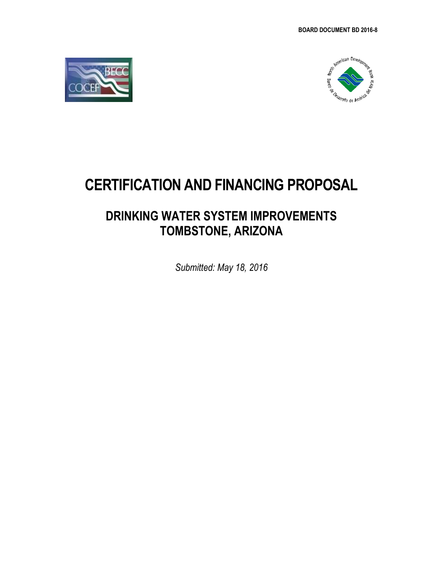



# **CERTIFICATION AND FINANCING PROPOSAL**

# **DRINKING WATER SYSTEM IMPROVEMENTS TOMBSTONE, ARIZONA**

*Submitted: May 18, 2016*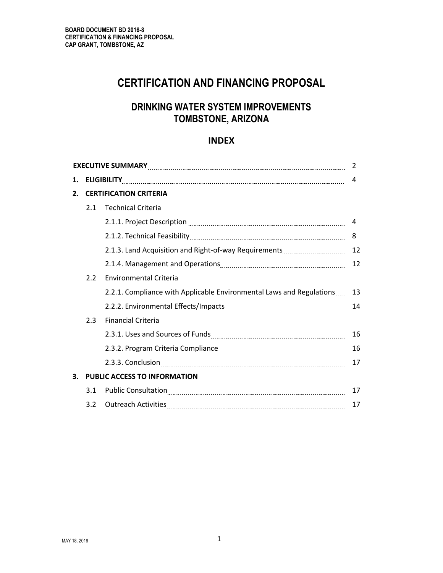# **CERTIFICATION AND FINANCING PROPOSAL**

# **DRINKING WATER SYSTEM IMPROVEMENTS TOMBSTONE, ARIZONA**

## **INDEX**

|                  | 2   |                                                                      |    |  |  |
|------------------|-----|----------------------------------------------------------------------|----|--|--|
| 1.               |     |                                                                      | 4  |  |  |
| $\overline{2}$ . |     | <b>CERTIFICATION CRITERIA</b>                                        |    |  |  |
|                  | 2.1 | <b>Technical Criteria</b>                                            |    |  |  |
|                  |     |                                                                      | 4  |  |  |
|                  |     |                                                                      | 8  |  |  |
|                  |     |                                                                      | 12 |  |  |
|                  |     |                                                                      | 12 |  |  |
|                  | 2.2 | <b>Environmental Criteria</b>                                        |    |  |  |
|                  |     | 2.2.1. Compliance with Applicable Environmental Laws and Regulations | 13 |  |  |
|                  |     |                                                                      | 14 |  |  |
|                  | 2.3 | <b>Financial Criteria</b>                                            |    |  |  |
|                  |     |                                                                      | 16 |  |  |
|                  |     |                                                                      | 16 |  |  |
|                  |     |                                                                      | 17 |  |  |
| 3.               |     | PUBLIC ACCESS TO INFORMATION                                         |    |  |  |
|                  | 3.1 |                                                                      | 17 |  |  |
|                  | 3.2 |                                                                      | 17 |  |  |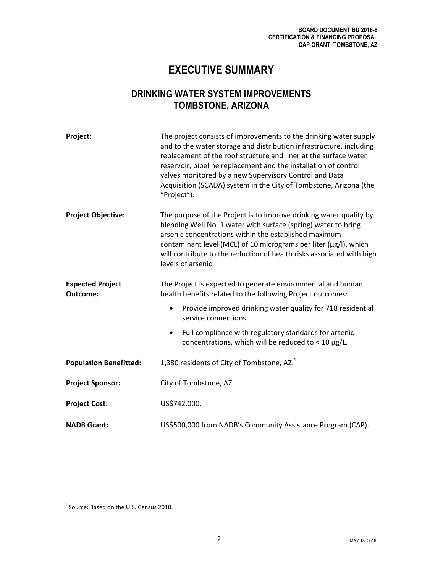# **EXECUTIVE SUMMARY**

# **DRINKING WATER SYSTEM IMPROVEMENTS TOMBSTONE, ARIZONA**

| Project:                            | The project consists of improvements to the drinking water supply<br>and to the water storage and distribution infrastructure, including<br>replacement of the roof structure and liner at the surface water<br>reservoir, pipeline replacement and the installation of control<br>valves monitored by a new Supervisory Control and Data<br>Acquisition (SCADA) system in the City of Tombstone, Arizona (the<br>"Project"). |  |  |
|-------------------------------------|-------------------------------------------------------------------------------------------------------------------------------------------------------------------------------------------------------------------------------------------------------------------------------------------------------------------------------------------------------------------------------------------------------------------------------|--|--|
| <b>Project Objective:</b>           | The purpose of the Project is to improve drinking water quality by<br>blending Well No. 1 water with surface (spring) water to bring<br>arsenic concentrations within the established maximum<br>contaminant level (MCL) of 10 micrograms per liter (µg/l), which<br>will contribute to the reduction of health risks associated with high<br>levels of arsenic.                                                              |  |  |
| <b>Expected Project</b><br>Outcome: | The Project is expected to generate environmental and human<br>health benefits related to the following Project outcomes:                                                                                                                                                                                                                                                                                                     |  |  |
|                                     | Provide improved drinking water quality for 718 residential<br>$\bullet$<br>service connections.                                                                                                                                                                                                                                                                                                                              |  |  |
|                                     | Full compliance with regulatory standards for arsenic<br>$\bullet$<br>concentrations, which will be reduced to < $10 \mu g/L$ .                                                                                                                                                                                                                                                                                               |  |  |
| <b>Population Benefitted:</b>       | 1,380 residents of City of Tombstone, AZ. <sup>1</sup>                                                                                                                                                                                                                                                                                                                                                                        |  |  |
| <b>Project Sponsor:</b>             | City of Tombstone, AZ.                                                                                                                                                                                                                                                                                                                                                                                                        |  |  |
| <b>Project Cost:</b>                | US\$742,000.                                                                                                                                                                                                                                                                                                                                                                                                                  |  |  |
| <b>NADB Grant:</b>                  | US\$500,000 from NADB's Community Assistance Program (CAP).                                                                                                                                                                                                                                                                                                                                                                   |  |  |

l

<sup>&</sup>lt;sup>1</sup> Source: Based on the U.S. Census 2010.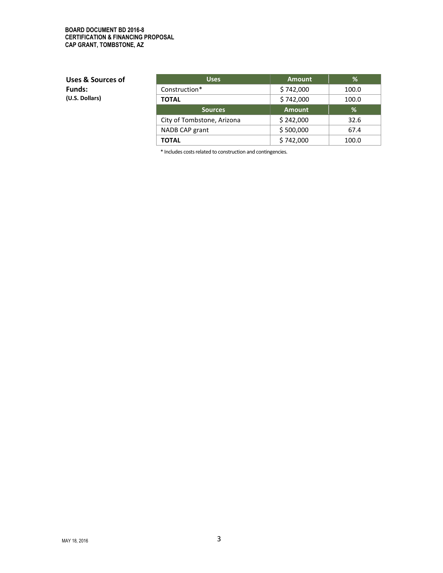#### **BOARD DOCUMENT BD 2016-8 CERTIFICATION & FINANCING PROPOSAL CAP GRANT, TOMBSTONE, AZ**

**Uses & Sources of Funds: (U.S. Dollars)**

| <b>Uses</b>                | <b>Amount</b> | %     |
|----------------------------|---------------|-------|
| Construction*              | \$742,000     | 100.0 |
| <b>TOTAL</b>               | \$742,000     | 100.0 |
| <b>Sources</b>             | <b>Amount</b> | %     |
| City of Tombstone, Arizona | \$242,000     | 32.6  |
| NADB CAP grant             | \$500,000     | 67.4  |
| TOTAL                      | \$742,000     | 100.0 |

\* Includes costs related to construction and contingencies.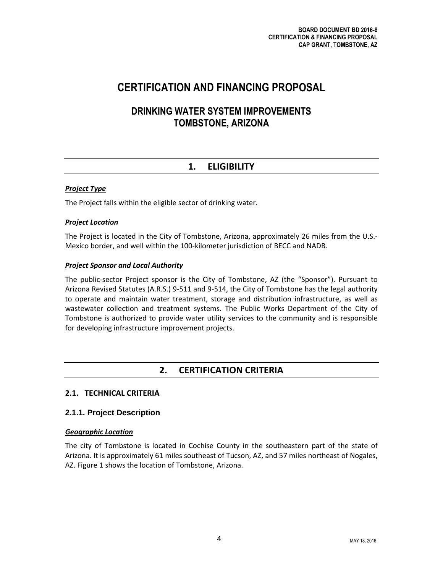# **CERTIFICATION AND FINANCING PROPOSAL**

## **DRINKING WATER SYSTEM IMPROVEMENTS TOMBSTONE, ARIZONA**

## **1. ELIGIBILITY**

## *Project Type*

The Project falls within the eligible sector of drinking water.

## *Project Location*

The Project is located in the City of Tombstone, Arizona, approximately 26 miles from the U.S.- Mexico border, and well within the 100-kilometer jurisdiction of BECC and NADB.

## *Project Sponsor and Local Authority*

The public-sector Project sponsor is the City of Tombstone, AZ (the "Sponsor"). Pursuant to Arizona Revised Statutes (A.R.S.) 9-511 and 9-514, the City of Tombstone has the legal authority to operate and maintain water treatment, storage and distribution infrastructure, as well as wastewater collection and treatment systems. The Public Works Department of the City of Tombstone is authorized to provide water utility services to the community and is responsible for developing infrastructure improvement projects.

## **2. CERTIFICATION CRITERIA**

## **2.1. TECHNICAL CRITERIA**

## **2.1.1. Project Description**

## *Geographic Location*

The city of Tombstone is located in Cochise County in the southeastern part of the state of Arizona. It is approximately 61 miles southeast of Tucson, AZ, and 57 miles northeast of Nogales, AZ. Figure 1 shows the location of Tombstone, Arizona.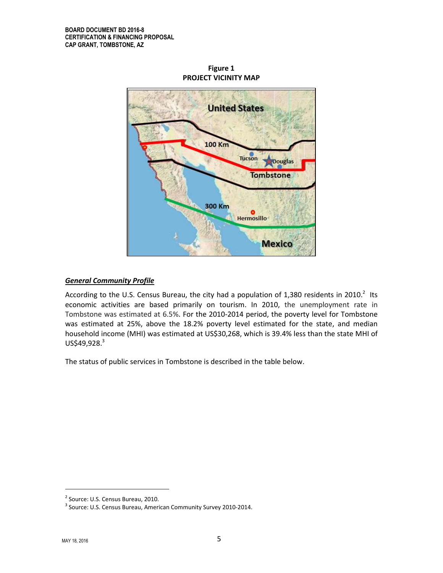

**Figure 1 PROJECT VICINITY MAP**

## *General Community Profile*

According to the U.S. Census Bureau, the city had a population of 1,380 residents in 2010.<sup>2</sup> Its economic activities are based primarily on tourism. In 2010, the unemployment rate in Tombstone was estimated at 6.5%. For the 2010-2014 period, the poverty level for Tombstone was estimated at 25%, above the 18.2% poverty level estimated for the state, and median household income (MHI) was estimated at US\$30,268, which is 39.4% less than the state MHI of  $US$49,928.<sup>3</sup>$ 

The status of public services in Tombstone is described in the table below.

 $\overline{\phantom{a}}$ 

<sup>&</sup>lt;sup>2</sup> Source: U.S. Census Bureau, 2010.

 $3$  Source: U.S. Census Bureau, American Community Survey 2010-2014.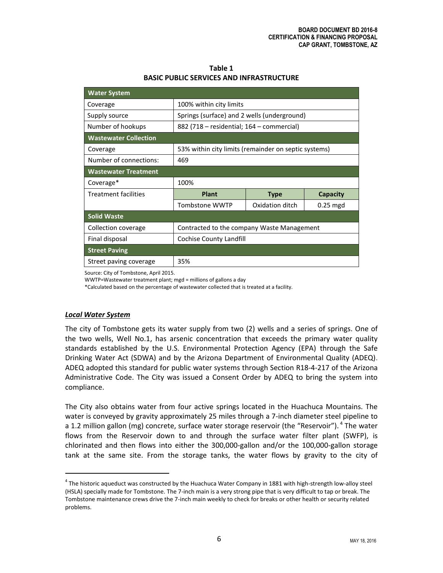| Table 1                                         |
|-------------------------------------------------|
| <b>BASIC PUBLIC SERVICES AND INFRASTRUCTURE</b> |

| <b>Water System</b>          |                                                      |                 |            |  |
|------------------------------|------------------------------------------------------|-----------------|------------|--|
| Coverage                     | 100% within city limits                              |                 |            |  |
| Supply source                | Springs (surface) and 2 wells (underground)          |                 |            |  |
| Number of hookups            | 882 (718 - residential; 164 - commercial)            |                 |            |  |
| <b>Wastewater Collection</b> |                                                      |                 |            |  |
| Coverage                     | 53% within city limits (remainder on septic systems) |                 |            |  |
| Number of connections:       | 469                                                  |                 |            |  |
| <b>Wastewater Treatment</b>  |                                                      |                 |            |  |
| Coverage*                    | 100%                                                 |                 |            |  |
| <b>Treatment facilities</b>  | <b>Plant</b>                                         | <b>Type</b>     | Capacity   |  |
|                              | Tombstone WWTP                                       | Oxidation ditch | $0.25$ mgd |  |
| <b>Solid Waste</b>           |                                                      |                 |            |  |
| Collection coverage          | Contracted to the company Waste Management           |                 |            |  |
| Final disposal               | Cochise County Landfill                              |                 |            |  |
| <b>Street Paving</b>         |                                                      |                 |            |  |
| Street paving coverage       | 35%                                                  |                 |            |  |

Source: City of Tombstone, April 2015.

WWTP=Wastewater treatment plant; mgd = millions of gallons a day

\*Calculated based on the percentage of wastewater collected that is treated at a facility.

#### *Local Water System*

l

The city of Tombstone gets its water supply from two (2) wells and a series of springs. One of the two wells, Well No.1, has arsenic concentration that exceeds the primary water quality standards established by the U.S. Environmental Protection Agency (EPA) through the Safe Drinking Water Act (SDWA) and by the Arizona Department of Environmental Quality (ADEQ). ADEQ adopted this standard for public water systems through Section R18-4-217 of the Arizona Administrative Code. The City was issued a Consent Order by ADEQ to bring the system into compliance.

The City also obtains water from four active springs located in the Huachuca Mountains. The water is conveyed by gravity approximately 25 miles through a 7-inch diameter steel pipeline to a 1.2 million gallon (mg) concrete, surface water storage reservoir (the "Reservoir"). <sup>4</sup> The water flows from the Reservoir down to and through the surface water filter plant (SWFP), is chlorinated and then flows into either the 300,000-gallon and/or the 100,000-gallon storage tank at the same site. From the storage tanks, the water flows by gravity to the city of

<sup>&</sup>lt;sup>4</sup> The historic aqueduct was constructed by the Huachuca Water Company in 1881 with high-strength low-alloy steel (HSLA) specially made for Tombstone. The 7-inch main is a very strong pipe that is very difficult to tap or break. The Tombstone maintenance crews drive the 7-inch main weekly to check for breaks or other health or security related problems.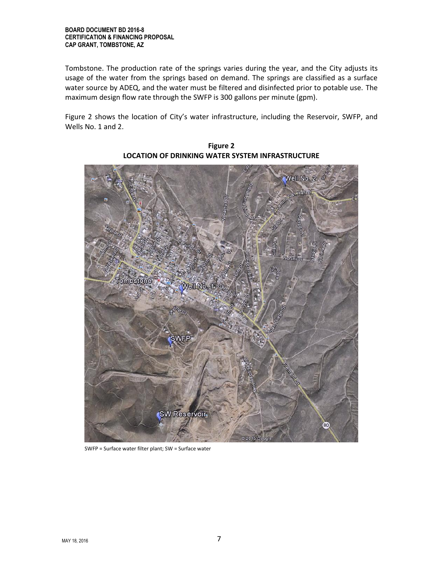Tombstone. The production rate of the springs varies during the year, and the City adjusts its usage of the water from the springs based on demand. The springs are classified as a surface water source by ADEQ, and the water must be filtered and disinfected prior to potable use. The maximum design flow rate through the SWFP is 300 gallons per minute (gpm).

Figure 2 shows the location of City's water infrastructure, including the Reservoir, SWFP, and Wells No. 1 and 2.



**Figure 2 LOCATION OF DRINKING WATER SYSTEM INFRASTRUCTURE**

SWFP = Surface water filter plant; SW = Surface water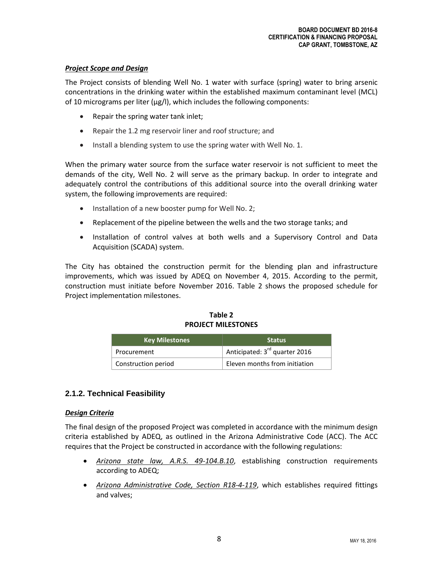## *Project Scope and Design*

The Project consists of blending Well No. 1 water with surface (spring) water to bring arsenic concentrations in the drinking water within the established maximum contaminant level (MCL) of 10 micrograms per liter (µg/l), which includes the following components:

- Repair the spring water tank inlet;
- Repair the 1.2 mg reservoir liner and roof structure; and
- Install a blending system to use the spring water with Well No. 1.

When the primary water source from the surface water reservoir is not sufficient to meet the demands of the city, Well No. 2 will serve as the primary backup. In order to integrate and adequately control the contributions of this additional source into the overall drinking water system, the following improvements are required:

- Installation of a new booster pump for Well No. 2;
- Replacement of the pipeline between the wells and the two storage tanks; and
- Installation of control valves at both wells and a Supervisory Control and Data Acquisition (SCADA) system.

The City has obtained the construction permit for the blending plan and infrastructure improvements, which was issued by ADEQ on November 4, 2015. According to the permit, construction must initiate before November 2016. Table 2 shows the proposed schedule for Project implementation milestones.

| <b>Key Milestones</b> | <b>Status</b>                             |
|-----------------------|-------------------------------------------|
| Procurement           | Anticipated: 3 <sup>rd</sup> quarter 2016 |
| Construction period   | Eleven months from initiation             |

**Table 2 PROJECT MILESTONES**

## **2.1.2. Technical Feasibility**

## *Design Criteria*

The final design of the proposed Project was completed in accordance with the minimum design criteria established by ADEQ, as outlined in the Arizona Administrative Code (ACC). The ACC requires that the Project be constructed in accordance with the following regulations:

- *Arizona state law, A.R.S. 49-104.B.10*, establishing construction requirements according to ADEQ;
- *Arizona Administrative Code, Section R18-4-119*, which establishes required fittings and valves;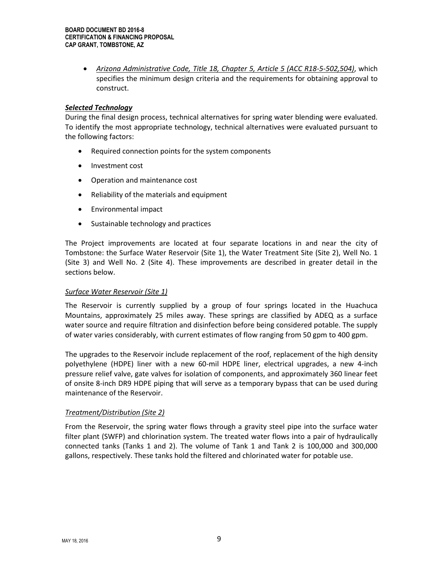*Arizona Administrative Code, Title 18, Chapter 5, Article 5 (ACC R18-5-502,504)*, which specifies the minimum design criteria and the requirements for obtaining approval to construct.

#### *Selected Technology*

During the final design process, technical alternatives for spring water blending were evaluated. To identify the most appropriate technology, technical alternatives were evaluated pursuant to the following factors:

- Required connection points for the system components
- Investment cost
- Operation and maintenance cost
- Reliability of the materials and equipment
- Environmental impact
- Sustainable technology and practices

The Project improvements are located at four separate locations in and near the city of Tombstone: the Surface Water Reservoir (Site 1), the Water Treatment Site (Site 2), Well No. 1 (Site 3) and Well No. 2 (Site 4). These improvements are described in greater detail in the sections below.

#### *Surface Water Reservoir (Site 1)*

The Reservoir is currently supplied by a group of four springs located in the Huachuca Mountains, approximately 25 miles away. These springs are classified by ADEQ as a surface water source and require filtration and disinfection before being considered potable. The supply of water varies considerably, with current estimates of flow ranging from 50 gpm to 400 gpm.

The upgrades to the Reservoir include replacement of the roof, replacement of the high density polyethylene (HDPE) liner with a new 60-mil HDPE liner, electrical upgrades, a new 4-inch pressure relief valve, gate valves for isolation of components, and approximately 360 linear feet of onsite 8-inch DR9 HDPE piping that will serve as a temporary bypass that can be used during maintenance of the Reservoir.

## *Treatment/Distribution (Site 2)*

From the Reservoir, the spring water flows through a gravity steel pipe into the surface water filter plant (SWFP) and chlorination system. The treated water flows into a pair of hydraulically connected tanks (Tanks 1 and 2). The volume of Tank 1 and Tank 2 is 100,000 and 300,000 gallons, respectively. These tanks hold the filtered and chlorinated water for potable use.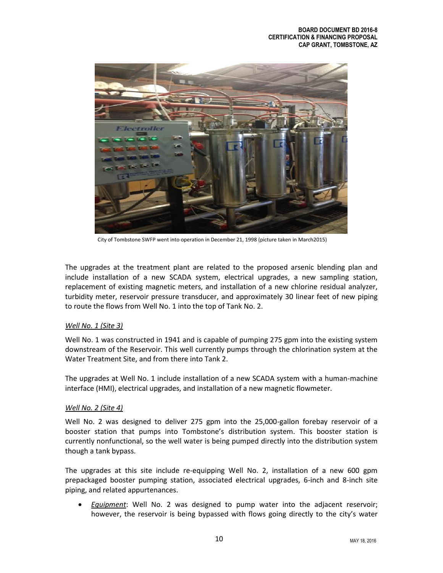

City of Tombstone SWFP went into operation in December 21, 1998 (picture taken in March2015)

The upgrades at the treatment plant are related to the proposed arsenic blending plan and include installation of a new SCADA system, electrical upgrades, a new sampling station, replacement of existing magnetic meters, and installation of a new chlorine residual analyzer, turbidity meter, reservoir pressure transducer, and approximately 30 linear feet of new piping to route the flows from Well No. 1 into the top of Tank No. 2.

## *Well No. 1 (Site 3)*

Well No. 1 was constructed in 1941 and is capable of pumping 275 gpm into the existing system downstream of the Reservoir. This well currently pumps through the chlorination system at the Water Treatment Site, and from there into Tank 2.

The upgrades at Well No. 1 include installation of a new SCADA system with a human-machine interface (HMI), electrical upgrades, and installation of a new magnetic flowmeter.

## *Well No. 2 (Site 4)*

Well No. 2 was designed to deliver 275 gpm into the 25,000-gallon forebay reservoir of a booster station that pumps into Tombstone's distribution system. This booster station is currently nonfunctional, so the well water is being pumped directly into the distribution system though a tank bypass.

The upgrades at this site include re-equipping Well No. 2, installation of a new 600 gpm prepackaged booster pumping station, associated electrical upgrades, 6-inch and 8-inch site piping, and related appurtenances.

 *Equipment*: Well No. 2 was designed to pump water into the adjacent reservoir; however, the reservoir is being bypassed with flows going directly to the city's water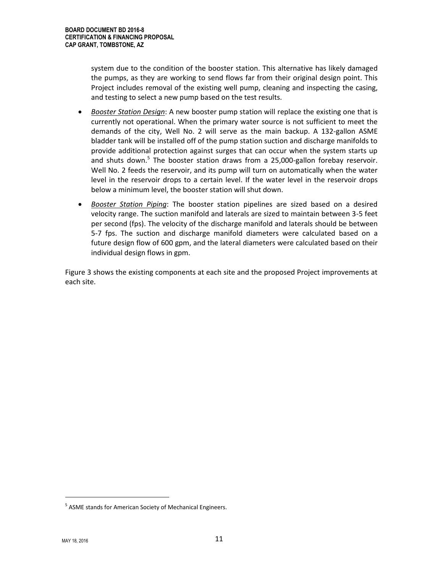system due to the condition of the booster station. This alternative has likely damaged the pumps, as they are working to send flows far from their original design point. This Project includes removal of the existing well pump, cleaning and inspecting the casing, and testing to select a new pump based on the test results.

- *Booster Station Design*: A new booster pump station will replace the existing one that is currently not operational. When the primary water source is not sufficient to meet the demands of the city, Well No. 2 will serve as the main backup. A 132-gallon ASME bladder tank will be installed off of the pump station suction and discharge manifolds to provide additional protection against surges that can occur when the system starts up and shuts down.<sup>5</sup> The booster station draws from a 25,000-gallon forebay reservoir. Well No. 2 feeds the reservoir, and its pump will turn on automatically when the water level in the reservoir drops to a certain level. If the water level in the reservoir drops below a minimum level, the booster station will shut down.
- *Booster Station Piping*: The booster station pipelines are sized based on a desired velocity range. The suction manifold and laterals are sized to maintain between 3-5 feet per second (fps). The velocity of the discharge manifold and laterals should be between 5-7 fps. The suction and discharge manifold diameters were calculated based on a future design flow of 600 gpm, and the lateral diameters were calculated based on their individual design flows in gpm.

Figure 3 shows the existing components at each site and the proposed Project improvements at each site.

l

<sup>&</sup>lt;sup>5</sup> ASME stands for American Society of Mechanical Engineers.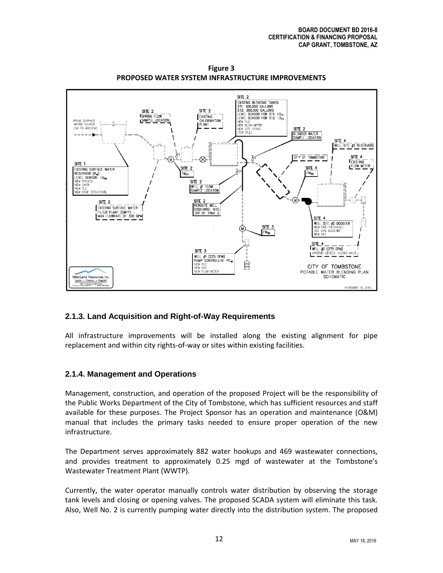

**Figure 3 PROPOSED WATER SYSTEM INFRASTRUCTURE IMPROVEMENTS**

## **2.1.3. Land Acquisition and Right-of-Way Requirements**

All infrastructure improvements will be installed along the existing alignment for pipe replacement and within city rights-of-way or sites within existing facilities.

## **2.1.4. Management and Operations**

Management, construction, and operation of the proposed Project will be the responsibility of the Public Works Department of the City of Tombstone, which has sufficient resources and staff available for these purposes. The Project Sponsor has an operation and maintenance (O&M) manual that includes the primary tasks needed to ensure proper operation of the new infrastructure.

The Department serves approximately 882 water hookups and 469 wastewater connections, and provides treatment to approximately 0.25 mgd of wastewater at the Tombstone's Wastewater Treatment Plant (WWTP).

Currently, the water operator manually controls water distribution by observing the storage tank levels and closing or opening valves. The proposed SCADA system will eliminate this task. Also, Well No. 2 is currently pumping water directly into the distribution system. The proposed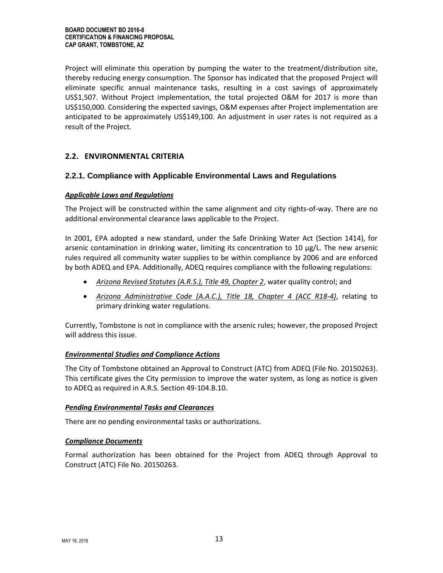Project will eliminate this operation by pumping the water to the treatment/distribution site, thereby reducing energy consumption. The Sponsor has indicated that the proposed Project will eliminate specific annual maintenance tasks, resulting in a cost savings of approximately US\$1,507. Without Project implementation, the total projected O&M for 2017 is more than US\$150,000. Considering the expected savings, O&M expenses after Project implementation are anticipated to be approximately US\$149,100. An adjustment in user rates is not required as a result of the Project.

## **2.2. ENVIRONMENTAL CRITERIA**

## **2.2.1. Compliance with Applicable Environmental Laws and Regulations**

#### *Applicable Laws and Regulations*

The Project will be constructed within the same alignment and city rights-of-way. There are no additional environmental clearance laws applicable to the Project.

In 2001, EPA adopted a new standard, under the Safe Drinking Water Act (Section 1414), for arsenic contamination in drinking water, limiting its concentration to 10  $\mu$ g/L. The new arsenic rules required all community water supplies to be within compliance by 2006 and are enforced by both ADEQ and EPA. Additionally, ADEQ requires compliance with the following regulations:

- *Arizona Revised Statutes (A.R.S.), Title 49, Chapter 2*, water quality control; and
- *Arizona Administrative Code (A.A.C.), Title 18, Chapter 4 (ACC R18-4)*, relating to primary drinking water regulations.

Currently, Tombstone is not in compliance with the arsenic rules; however, the proposed Project will address this issue.

## *Environmental Studies and Compliance Actions*

The City of Tombstone obtained an Approval to Construct (ATC) from ADEQ (File No. 20150263). This certificate gives the City permission to improve the water system, as long as notice is given to ADEQ as required in A.R.S. Section 49-104.B.10.

## *Pending Environmental Tasks and Clearances*

There are no pending environmental tasks or authorizations.

#### *Compliance Documents*

Formal authorization has been obtained for the Project from ADEQ through Approval to Construct (ATC) File No. 20150263.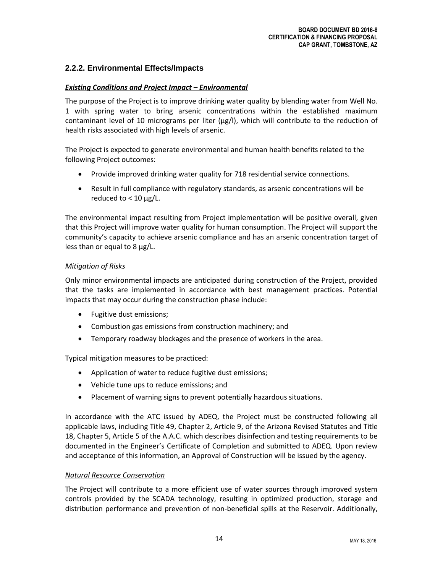## **2.2.2. Environmental Effects/Impacts**

## *Existing Conditions and Project Impact – Environmental*

The purpose of the Project is to improve drinking water quality by blending water from Well No. 1 with spring water to bring arsenic concentrations within the established maximum contaminant level of 10 micrograms per liter (µg/l), which will contribute to the reduction of health risks associated with high levels of arsenic.

The Project is expected to generate environmental and human health benefits related to the following Project outcomes:

- Provide improved drinking water quality for 718 residential service connections.
- Result in full compliance with regulatory standards, as arsenic concentrations will be reduced to  $< 10 \mu g/L$ .

The environmental impact resulting from Project implementation will be positive overall, given that this Project will improve water quality for human consumption. The Project will support the community's capacity to achieve arsenic compliance and has an arsenic concentration target of less than or equal to 8 µg/L.

#### *Mitigation of Risks*

Only minor environmental impacts are anticipated during construction of the Project, provided that the tasks are implemented in accordance with best management practices. Potential impacts that may occur during the construction phase include:

- Fugitive dust emissions;
- Combustion gas emissions from construction machinery; and
- Temporary roadway blockages and the presence of workers in the area.

Typical mitigation measures to be practiced:

- Application of water to reduce fugitive dust emissions;
- Vehicle tune ups to reduce emissions; and
- Placement of warning signs to prevent potentially hazardous situations.

In accordance with the ATC issued by ADEQ, the Project must be constructed following all applicable laws, including Title 49, Chapter 2, Article 9, of the Arizona Revised Statutes and Title 18, Chapter 5, Article 5 of the A.A.C. which describes disinfection and testing requirements to be documented in the Engineer's Certificate of Completion and submitted to ADEQ. Upon review and acceptance of this information, an Approval of Construction will be issued by the agency.

#### *Natural Resource Conservation*

The Project will contribute to a more efficient use of water sources through improved system controls provided by the SCADA technology, resulting in optimized production, storage and distribution performance and prevention of non-beneficial spills at the Reservoir. Additionally,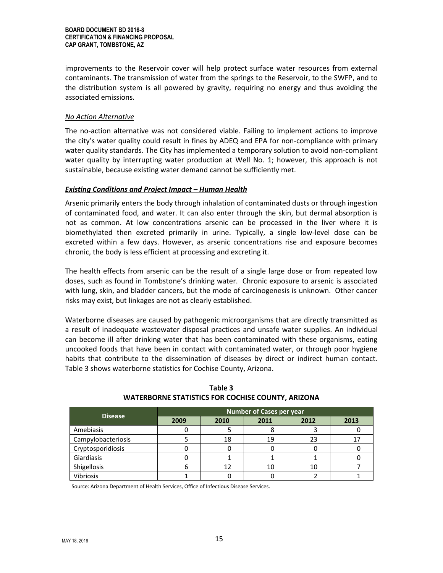improvements to the Reservoir cover will help protect surface water resources from external contaminants. The transmission of water from the springs to the Reservoir, to the SWFP, and to the distribution system is all powered by gravity, requiring no energy and thus avoiding the associated emissions.

## *No Action Alternative*

The no-action alternative was not considered viable. Failing to implement actions to improve the city's water quality could result in fines by ADEQ and EPA for non-compliance with primary water quality standards. The City has implemented a temporary solution to avoid non-compliant water quality by interrupting water production at Well No. 1; however, this approach is not sustainable, because existing water demand cannot be sufficiently met.

#### *Existing Conditions and Project Impact – Human Health*

Arsenic primarily enters the body through inhalation of contaminated dusts or through ingestion of contaminated food, and water. It can also enter through the skin, but dermal absorption is not as common. At low concentrations arsenic can be processed in the liver where it is biomethylated then excreted primarily in urine. Typically, a single low-level dose can be excreted within a few days. However, as arsenic concentrations rise and exposure becomes chronic, the body is less efficient at processing and excreting it.

The health effects from arsenic can be the result of a single large dose or from repeated low doses, such as found in Tombstone's drinking water. Chronic exposure to arsenic is associated with lung, skin, and bladder cancers, but the mode of carcinogenesis is unknown. Other cancer risks may exist, but linkages are not as clearly established.

Waterborne diseases are caused by pathogenic microorganisms that are directly transmitted as a result of inadequate wastewater disposal practices and unsafe water supplies. An individual can become ill after drinking water that has been contaminated with these organisms, eating uncooked foods that have been in contact with contaminated water, or through poor hygiene habits that contribute to the dissemination of diseases by direct or indirect human contact. Table 3 shows waterborne statistics for Cochise County, Arizona.

| <b>Disease</b>     | Number of Cases per year |      |      |      |      |
|--------------------|--------------------------|------|------|------|------|
|                    | 2009                     | 2010 | 2011 | 2012 | 2013 |
| Amebiasis          |                          |      |      |      |      |
| Campylobacteriosis |                          | 18   | 19   | 23   |      |
| Cryptosporidiosis  |                          |      |      |      |      |
| Giardiasis         |                          |      |      |      |      |
| Shigellosis        |                          |      | 10   | 10   |      |
| Vibriosis          |                          |      |      |      |      |

## **Table 3 WATERBORNE STATISTICS FOR COCHISE COUNTY, ARIZONA**

Source: Arizona Department of Health Services, Office of Infectious Disease Services.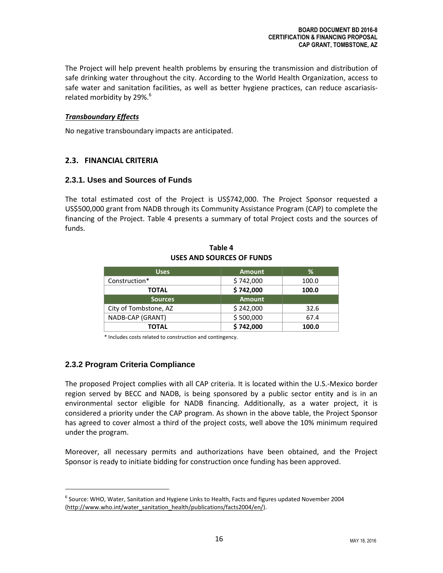The Project will help prevent health problems by ensuring the transmission and distribution of safe drinking water throughout the city. According to the World Health Organization, access to safe water and sanitation facilities, as well as better hygiene practices, can reduce ascariasisrelated morbidity by  $29\%$ .<sup>6</sup>

## *Transboundary Effects*

No negative transboundary impacts are anticipated.

## **2.3. FINANCIAL CRITERIA**

## **2.3.1. Uses and Sources of Funds**

The total estimated cost of the Project is US\$742,000. The Project Sponsor requested a US\$500,000 grant from NADB through its Community Assistance Program (CAP) to complete the financing of the Project. Table 4 presents a summary of total Project costs and the sources of funds.

| <b>Uses</b>           | <b>Amount</b> | ℅     |
|-----------------------|---------------|-------|
| Construction*         | \$742,000     | 100.0 |
| TOTAL                 | \$742,000     | 100.0 |
| <b>Sources</b>        | <b>Amount</b> |       |
| City of Tombstone, AZ | \$242,000     | 32.6  |
| NADB-CAP (GRANT)      | \$500,000     | 67.4  |
| TOTAL                 | \$742,000     | 100.0 |

#### **Table 4 USES AND SOURCES OF FUNDS**

\* Includes costs related to construction and contingency.

## **2.3.2 Program Criteria Compliance**

 $\overline{\phantom{a}}$ 

The proposed Project complies with all CAP criteria. It is located within the U.S.-Mexico border region served by BECC and NADB, is being sponsored by a public sector entity and is in an environmental sector eligible for NADB financing. Additionally, as a water project, it is considered a priority under the CAP program. As shown in the above table, the Project Sponsor has agreed to cover almost a third of the project costs, well above the 10% minimum required under the program.

Moreover, all necessary permits and authorizations have been obtained, and the Project Sponsor is ready to initiate bidding for construction once funding has been approved.

 $^6$  Source: WHO, Water, Sanitation and Hygiene Links to Health, Facts and figures updated November 2004 [\(http://www.who.int/water\\_sanitation\\_health/publications/facts2004/en/\)](http://www.who.int/water_sanitation_health/publications/facts2004/en/).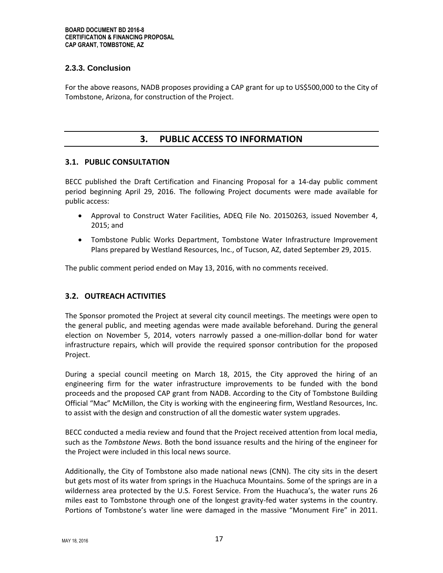## **2.3.3. Conclusion**

For the above reasons, NADB proposes providing a CAP grant for up to US\$500,000 to the City of Tombstone, Arizona, for construction of the Project.

## **3. PUBLIC ACCESS TO INFORMATION**

## **3.1. PUBLIC CONSULTATION**

BECC published the Draft Certification and Financing Proposal for a 14-day public comment period beginning April 29, 2016. The following Project documents were made available for public access:

- Approval to Construct Water Facilities, ADEQ File No. 20150263, issued November 4, 2015; and
- Tombstone Public Works Department, Tombstone Water Infrastructure Improvement Plans prepared by Westland Resources, Inc., of Tucson, AZ, dated September 29, 2015.

The public comment period ended on May 13, 2016, with no comments received.

## **3.2. OUTREACH ACTIVITIES**

The Sponsor promoted the Project at several city council meetings. The meetings were open to the general public, and meeting agendas were made available beforehand. During the general election on November 5, 2014, voters narrowly passed a one-million-dollar bond for water infrastructure repairs, which will provide the required sponsor contribution for the proposed Project.

During a special council meeting on March 18, 2015, the City approved the hiring of an engineering firm for the water infrastructure improvements to be funded with the bond proceeds and the proposed CAP grant from NADB. According to the City of Tombstone Building Official "Mac" McMillon, the City is working with the engineering firm, Westland Resources, Inc. to assist with the design and construction of all the domestic water system upgrades.

BECC conducted a media review and found that the Project received attention from local media, such as the *Tombstone News*. Both the bond issuance results and the hiring of the engineer for the Project were included in this local news source.

Additionally, the City of Tombstone also made national news (CNN). The city sits in the desert but gets most of its water from springs in the Huachuca Mountains. Some of the springs are in a wilderness area protected by the U.S. Forest Service. From the Huachuca's, the water runs 26 miles east to Tombstone through one of the longest gravity-fed water systems in the country. Portions of Tombstone's water line were damaged in the massive "Monument Fire" in 2011.